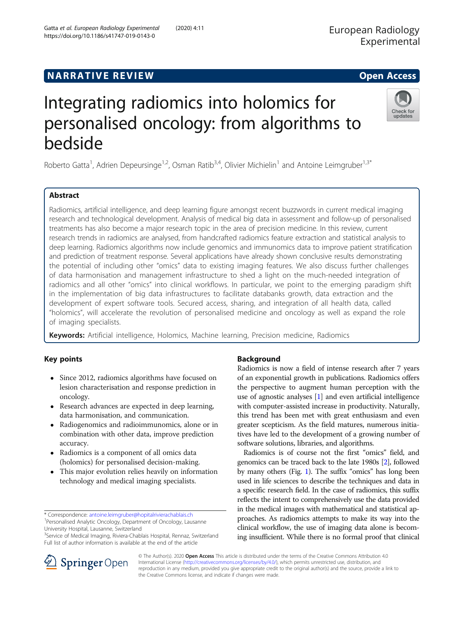# **NARRATIVE REVIEW ACCESS NARRATIVE REVIEW**

# Integrating radiomics into holomics for personalised oncology: from algorithms to bedside

Roberto Gatta<sup>1</sup>, Adrien Depeursinge<sup>1,2</sup>, Osman Ratib<sup>3,4</sup>, Olivier Michielin<sup>1</sup> and Antoine Leimgruber<sup>1,3\*</sup>

# Abstract

Radiomics, artificial intelligence, and deep learning figure amongst recent buzzwords in current medical imaging research and technological development. Analysis of medical big data in assessment and follow-up of personalised treatments has also become a major research topic in the area of precision medicine. In this review, current research trends in radiomics are analysed, from handcrafted radiomics feature extraction and statistical analysis to deep learning. Radiomics algorithms now include genomics and immunomics data to improve patient stratification and prediction of treatment response. Several applications have already shown conclusive results demonstrating the potential of including other "omics" data to existing imaging features. We also discuss further challenges of data harmonisation and management infrastructure to shed a light on the much-needed integration of radiomics and all other "omics" into clinical workflows. In particular, we point to the emerging paradigm shift in the implementation of big data infrastructures to facilitate databanks growth, data extraction and the development of expert software tools. Secured access, sharing, and integration of all health data, called "holomics", will accelerate the revolution of personalised medicine and oncology as well as expand the role of imaging specialists.

Keywords: Artificial intelligence, Holomics, Machine learning, Precision medicine, Radiomics

# Key points

- Since 2012, radiomics algorithms have focused on lesion characterisation and response prediction in oncology.
- Research advances are expected in deep learning, data harmonisation, and communication.
- Radiogenomics and radioimmunomics, alone or in combination with other data, improve prediction accuracy.
- Radiomics is a component of all omics data (holomics) for personalised decision-making.
- This major evolution relies heavily on information technology and medical imaging specialists.

\* Correspondence: [antoine.leimgruber@hopitalrivierachablais.ch](mailto:antoine.leimgruber@hopitalrivierachablais.ch) <sup>1</sup> <sup>1</sup> Personalised Analytic Oncology, Department of Oncology, Lausanne

University Hospital, Lausanne, Switzerland

SpringerOpen

<sup>3</sup>Service of Medical Imaging, Riviera-Chablais Hospital, Rennaz, Switzerland Full list of author information is available at the end of the article

# Background

Radiomics is now a field of intense research after 7 years of an exponential growth in publications. Radiomics offers the perspective to augment human perception with the use of agnostic analyses [[1\]](#page-7-0) and even artificial intelligence with computer-assisted increase in productivity. Naturally, this trend has been met with great enthusiasm and even greater scepticism. As the field matures, numerous initiatives have led to the development of a growing number of software solutions, libraries, and algorithms.

Radiomics is of course not the first "omics" field, and genomics can be traced back to the late 1980s [[2](#page-7-0)], followed by many others (Fig. [1](#page-1-0)). The suffix "omics" has long been used in life sciences to describe the techniques and data in a specific research field. In the case of radiomics, this suffix reflects the intent to comprehensively use the data provided in the medical images with mathematical and statistical approaches. As radiomics attempts to make its way into the clinical workflow, the use of imaging data alone is becoming insufficient. While there is no formal proof that clinical

© The Author(s). 2020 Open Access This article is distributed under the terms of the Creative Commons Attribution 4.0 International License ([http://creativecommons.org/licenses/by/4.0/\)](http://creativecommons.org/licenses/by/4.0/), which permits unrestricted use, distribution, and reproduction in any medium, provided you give appropriate credit to the original author(s) and the source, provide a link to the Creative Commons license, and indicate if changes were made.





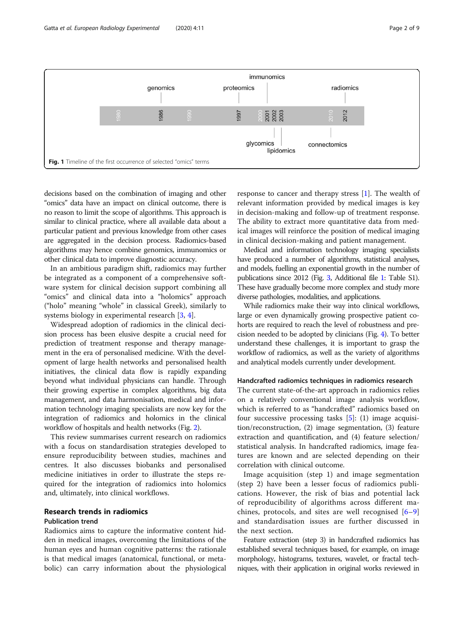<span id="page-1-0"></span>

decisions based on the combination of imaging and other "omics" data have an impact on clinical outcome, there is no reason to limit the scope of algorithms. This approach is similar to clinical practice, where all available data about a particular patient and previous knowledge from other cases are aggregated in the decision process. Radiomics-based algorithms may hence combine genomics, immunomics or other clinical data to improve diagnostic accuracy.

In an ambitious paradigm shift, radiomics may further be integrated as a component of a comprehensive software system for clinical decision support combining all "omics" and clinical data into a "holomics" approach ("holo" meaning "whole" in classical Greek), similarly to systems biology in experimental research [[3,](#page-7-0) [4\]](#page-7-0).

Widespread adoption of radiomics in the clinical decision process has been elusive despite a crucial need for prediction of treatment response and therapy management in the era of personalised medicine. With the development of large health networks and personalised health initiatives, the clinical data flow is rapidly expanding beyond what individual physicians can handle. Through their growing expertise in complex algorithms, big data management, and data harmonisation, medical and information technology imaging specialists are now key for the integration of radiomics and holomics in the clinical workflow of hospitals and health networks (Fig. [2](#page-2-0)).

This review summarises current research on radiomics with a focus on standardisation strategies developed to ensure reproducibility between studies, machines and centres. It also discusses biobanks and personalised medicine initiatives in order to illustrate the steps required for the integration of radiomics into holomics and, ultimately, into clinical workflows.

# Research trends in radiomics

# Publication trend

Radiomics aims to capture the informative content hidden in medical images, overcoming the limitations of the human eyes and human cognitive patterns: the rationale is that medical images (anatomical, functional, or metabolic) can carry information about the physiological

response to cancer and therapy stress  $[1]$  $[1]$ . The wealth of relevant information provided by medical images is key in decision-making and follow-up of treatment response. The ability to extract more quantitative data from medical images will reinforce the position of medical imaging in clinical decision-making and patient management.

Medical and information technology imaging specialists have produced a number of algorithms, statistical analyses, and models, fuelling an exponential growth in the number of publications since 2012 (Fig. [3](#page-3-0), Additional file [1](#page-7-0): Table S1). These have gradually become more complex and study more diverse pathologies, modalities, and applications.

While radiomics make their way into clinical workflows, large or even dynamically growing prospective patient cohorts are required to reach the level of robustness and precision needed to be adopted by clinicians (Fig. [4\)](#page-3-0). To better understand these challenges, it is important to grasp the workflow of radiomics, as well as the variety of algorithms and analytical models currently under development.

### Handcrafted radiomics techniques in radiomics research

The current state-of-the-art approach in radiomics relies on a relatively conventional image analysis workflow, which is referred to as "handcrafted" radiomics based on four successive processing tasks  $[5]$  $[5]$ : (1) image acquisition/reconstruction, (2) image segmentation, (3) feature extraction and quantification, and (4) feature selection/ statistical analysis. In handcrafted radiomics, image features are known and are selected depending on their correlation with clinical outcome.

Image acquisition (step 1) and image segmentation (step 2) have been a lesser focus of radiomics publications. However, the risk of bias and potential lack of reproducibility of algorithms across different machines, protocols, and sites are well recognised  $[6-9]$  $[6-9]$  $[6-9]$  $[6-9]$ and standardisation issues are further discussed in the next section.

Feature extraction (step 3) in handcrafted radiomics has established several techniques based, for example, on image morphology, histograms, textures, wavelet, or fractal techniques, with their application in original works reviewed in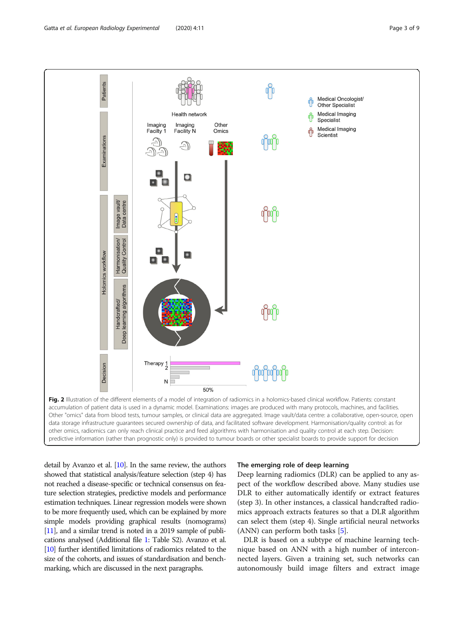<span id="page-2-0"></span>

detail by Avanzo et al. [\[10\]](#page-7-0). In the same review, the authors showed that statistical analysis/feature selection (step 4) has not reached a disease-specific or technical consensus on feature selection strategies, predictive models and performance estimation techniques. Linear regression models were shown to be more frequently used, which can be explained by more simple models providing graphical results (nomograms) [[11\]](#page-7-0), and a similar trend is noted in a 2019 sample of publications analysed (Additional file [1](#page-7-0): Table S2). Avanzo et al. [[10\]](#page-7-0) further identified limitations of radiomics related to the size of the cohorts, and issues of standardisation and benchmarking, which are discussed in the next paragraphs.

## The emerging role of deep learning

Deep learning radiomics (DLR) can be applied to any aspect of the workflow described above. Many studies use DLR to either automatically identify or extract features (step 3). In other instances, a classical handcrafted radiomics approach extracts features so that a DLR algorithm can select them (step 4). Single artificial neural networks (ANN) can perform both tasks [[5\]](#page-7-0).

DLR is based on a subtype of machine learning technique based on ANN with a high number of interconnected layers. Given a training set, such networks can autonomously build image filters and extract image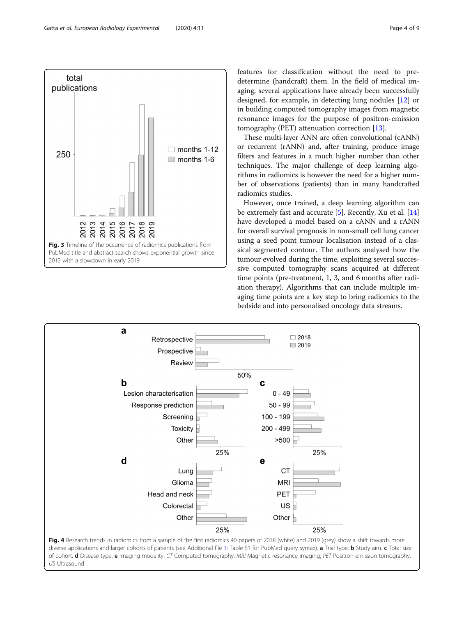2012 with a slowdown in early 2019

a

 $\mathbf b$ 

Retrospective

Lesion characterisation

Response prediction

Prospective Review

Screening

Toxicity

features for classification without the need to predetermine (handcraft) them. In the field of medical imaging, several applications have already been successfully designed, for example, in detecting lung nodules [\[12](#page-7-0)] or in building computed tomography images from magnetic resonance images for the purpose of positron-emission tomography (PET) attenuation correction [\[13](#page-7-0)].

These multi-layer ANN are often convolutional (cANN) or recurrent (rANN) and, after training, produce image filters and features in a much higher number than other techniques. The major challenge of deep learning algorithms in radiomics is however the need for a higher number of observations (patients) than in many handcrafted radiomics studies.

However, once trained, a deep learning algorithm can be extremely fast and accurate [\[5](#page-7-0)]. Recently, Xu et al. [[14](#page-7-0)] have developed a model based on a cANN and a rANN for overall survival prognosis in non-small cell lung cancer using a seed point tumour localisation instead of a classical segmented contour. The authors analysed how the tumour evolved during the time, exploiting several successive computed tomography scans acquired at different time points (pre-treatment, 1, 3, and 6 months after radiation therapy). Algorithms that can include multiple imaging time points are a key step to bring radiomics to the bedside and into personalised oncology data streams.

 $\Box$  2018

 $\Box$  2019



50%

 $\mathbf c$ 

 $0 - 49$ 

 $50 - 99$ 

100 - 199

 $200 - 499$ 

<span id="page-3-0"></span>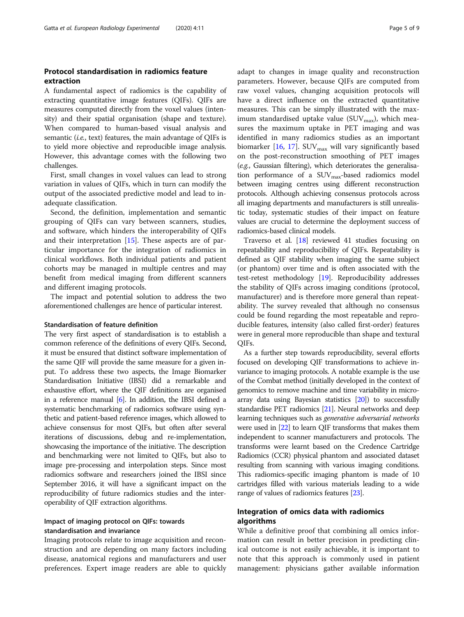# Protocol standardisation in radiomics feature extraction

A fundamental aspect of radiomics is the capability of extracting quantitative image features (QIFs). QIFs are measures computed directly from the voxel values (intensity) and their spatial organisation (shape and texture). When compared to human-based visual analysis and semantic (*i.e.*, text) features, the main advantage of OIFs is to yield more objective and reproducible image analysis. However, this advantage comes with the following two challenges.

First, small changes in voxel values can lead to strong variation in values of QIFs, which in turn can modify the output of the associated predictive model and lead to inadequate classification.

Second, the definition, implementation and semantic grouping of QIFs can vary between scanners, studies, and software, which hinders the interoperability of QIFs and their interpretation [\[15\]](#page-7-0). These aspects are of particular importance for the integration of radiomics in clinical workflows. Both individual patients and patient cohorts may be managed in multiple centres and may benefit from medical imaging from different scanners and different imaging protocols.

The impact and potential solution to address the two aforementioned challenges are hence of particular interest.

#### Standardisation of feature definition

The very first aspect of standardisation is to establish a common reference of the definitions of every QIFs. Second, it must be ensured that distinct software implementation of the same QIF will provide the same measure for a given input. To address these two aspects, the Image Biomarker Standardisation Initiative (IBSI) did a remarkable and exhaustive effort, where the QIF definitions are organised in a reference manual [[6](#page-7-0)]. In addition, the IBSI defined a systematic benchmarking of radiomics software using synthetic and patient-based reference images, which allowed to achieve consensus for most QIFs, but often after several iterations of discussions, debug and re-implementation, showcasing the importance of the initiative. The description and benchmarking were not limited to QIFs, but also to image pre-processing and interpolation steps. Since most radiomics software and researchers joined the IBSI since September 2016, it will have a significant impact on the reproducibility of future radiomics studies and the interoperability of QIF extraction algorithms.

# Impact of imaging protocol on QIFs: towards standardisation and invariance

Imaging protocols relate to image acquisition and reconstruction and are depending on many factors including disease, anatomical regions and manufacturers and user preferences. Expert image readers are able to quickly adapt to changes in image quality and reconstruction parameters. However, because QIFs are computed from raw voxel values, changing acquisition protocols will have a direct influence on the extracted quantitative measures. This can be simply illustrated with the maximum standardised uptake value  $(SUV_{max})$ , which measures the maximum uptake in PET imaging and was identified in many radiomics studies as an important biomarker  $[16, 17]$  $[16, 17]$  $[16, 17]$  $[16, 17]$  $[16, 17]$ . SUV<sub>max</sub> will vary significantly based on the post-reconstruction smoothing of PET images (e.g., Gaussian filtering), which deteriorates the generalisation performance of a  $\text{SUV}_{\text{max}}$ -based radiomics model between imaging centres using different reconstruction protocols. Although achieving consensus protocols across all imaging departments and manufacturers is still unrealistic today, systematic studies of their impact on feature values are crucial to determine the deployment success of radiomics-based clinical models.

Traverso et al. [\[18\]](#page-8-0) reviewed 41 studies focusing on repeatability and reproducibility of QIFs. Repeatability is defined as QIF stability when imaging the same subject (or phantom) over time and is often associated with the test-retest methodology [\[19](#page-8-0)]. Reproducibility addresses the stability of QIFs across imaging conditions (protocol, manufacturer) and is therefore more general than repeatability. The survey revealed that although no consensus could be found regarding the most repeatable and reproducible features, intensity (also called first-order) features were in general more reproducible than shape and textural QIFs.

As a further step towards reproducibility, several efforts focused on developing QIF transformations to achieve invariance to imaging protocols. A notable example is the use of the Combat method (initially developed in the context of genomics to remove machine and time variability in microarray data using Bayesian statistics [[20](#page-8-0)]) to successfully standardise PET radiomics [\[21\]](#page-8-0). Neural networks and deep learning techniques such as generative adversarial networks were used in [\[22\]](#page-8-0) to learn QIF transforms that makes them independent to scanner manufacturers and protocols. The transforms were learnt based on the Credence Cartridge Radiomics (CCR) physical phantom and associated dataset resulting from scanning with various imaging conditions. This radiomics-specific imaging phantom is made of 10 cartridges filled with various materials leading to a wide range of values of radiomics features [\[23](#page-8-0)].

# Integration of omics data with radiomics algorithms

While a definitive proof that combining all omics information can result in better precision in predicting clinical outcome is not easily achievable, it is important to note that this approach is commonly used in patient management: physicians gather available information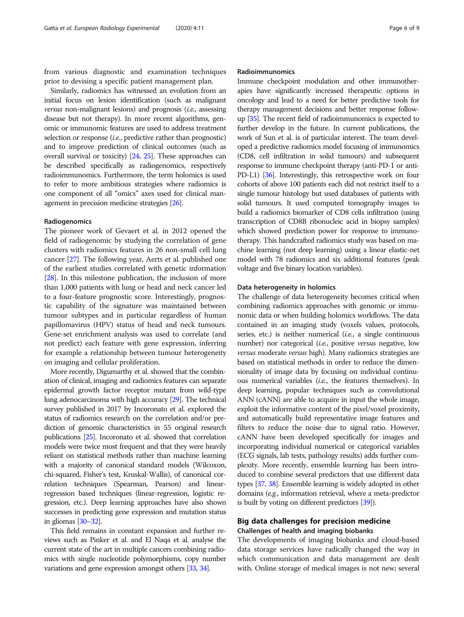from various diagnostic and examination techniques prior to devising a specific patient management plan.

Similarly, radiomics has witnessed an evolution from an initial focus on lesion identification (such as malignant versus non-malignant lesions) and prognosis  $(i.e.,$  assessing disease but not therapy). In more recent algorithms, genomic or immunomic features are used to address treatment selection or response *(i.e.*, predictive rather than prognostic) and to improve prediction of clinical outcomes (such as overall survival or toxicity) [\[24,](#page-8-0) [25\]](#page-8-0). These approaches can be described specifically as radiogenomics, respectively radioimmunomics. Furthermore, the term holomics is used to refer to more ambitious strategies where radiomics is one component of all "omics" axes used for clinical management in precision medicine strategies [\[26](#page-8-0)].

#### Radiogenomics

The pioneer work of Gevaert et al. in 2012 opened the field of radiogenomic by studying the correlation of gene clusters with radiomics features in 26 non-small cell lung cancer [\[27\]](#page-8-0). The following year, Aerts et al. published one of the earliest studies correlated with genetic information [[28](#page-8-0)]. In this milestone publication, the inclusion of more than 1,000 patients with lung or head and neck cancer led to a four-feature prognostic score. Interestingly, prognostic capability of the signature was maintained between tumour subtypes and in particular regardless of human papillomavirus (HPV) status of head and neck tumours. Gene-set enrichment analysis was used to correlate (and not predict) each feature with gene expression, inferring for example a relationship between tumour heterogeneity on imaging and cellular proliferation.

More recently, Digumarthy et al. showed that the combination of clinical, imaging and radiomics features can separate epidermal growth factor receptor mutant from wild-type lung adenocarcinoma with high accuracy [\[29](#page-8-0)]. The technical survey published in 2017 by Incoronato et al. explored the status of radiomics research on the correlation and/or prediction of genomic characteristics in 55 original research publications [\[25](#page-8-0)]. Incoronato et al. showed that correlation models were twice most frequent and that they were heavily reliant on statistical methods rather than machine learning with a majority of canonical standard models (Wilcoxon, chi-squared, Fisher's test, Kruskal-Wallis), of canonical correlation techniques (Spearman, Pearson) and linearregression based techniques (linear-regression, logistic regression, etc.). Deep learning approaches have also shown successes in predicting gene expression and mutation status in gliomas [\[30](#page-8-0)–[32](#page-8-0)].

This field remains in constant expansion and further reviews such as Pinker et al. and El Naqa et al. analyse the current state of the art in multiple cancers combining radiomics with single nucleotide polymorphisms, copy number variations and gene expression amongst others [\[33,](#page-8-0) [34\]](#page-8-0).

#### Radioimmunomics

Immune checkpoint modulation and other immunotherapies have significantly increased therapeutic options in oncology and lead to a need for better predictive tools for therapy management decisions and better response followup [\[35\]](#page-8-0). The recent field of radioimmunomics is expected to further develop in the future. In current publications, the work of Sun et al. is of particular interest. The team developed a predictive radiomics model focusing of immunomics (CD8, cell infiltration in solid tumours) and subsequent response to immune checkpoint therapy (anti-PD-1 or anti-PD-L1) [\[36\]](#page-8-0). Interestingly, this retrospective work on four cohorts of above 100 patients each did not restrict itself to a single tumour histology but used databases of patients with solid tumours. It used computed tomography images to build a radiomics biomarker of CD8 cells infiltration (using transcription of CD8B ribonucleic acid in biopsy samples) which showed prediction power for response to immunotherapy. This handcrafted radiomics study was based on machine learning (not deep learning) using a linear elastic-net model with 78 radiomics and six additional features (peak voltage and five binary location variables).

#### Data heterogeneity in holomics

The challenge of data heterogeneity becomes critical when combining radiomics approaches with genomic or immunomic data or when building holomics workflows. The data contained in an imaging study (voxels values, protocols, series, etc.) is neither numerical  $(i.e., a single continuous$ number) nor categorical (i.e., positive versus negative, low versus moderate versus high). Many radiomics strategies are based on statistical methods in order to reduce the dimensionality of image data by focusing on individual continuous numerical variables (i.e., the features themselves). In deep learning, popular techniques such as convolutional ANN (cANN) are able to acquire in input the whole image, exploit the informative content of the pixel/voxel proximity, and automatically build representative image features and filters to reduce the noise due to signal ratio. However, cANN have been developed specifically for images and incorporating individual numerical or categorical variables (ECG signals, lab tests, pathology results) adds further complexity. More recently, ensemble learning has been introduced to combine several predictors that use different data types [\[37,](#page-8-0) [38](#page-8-0)]. Ensemble learning is widely adopted in other domains (e.g., information retrieval, where a meta-predictor is built by voting on different predictors [[39](#page-8-0)]).

# Big data challenges for precision medicine Challenges of health and imaging biobanks

The developments of imaging biobanks and cloud-based data storage services have radically changed the way in which communication and data management are dealt with. Online storage of medical images is not new; several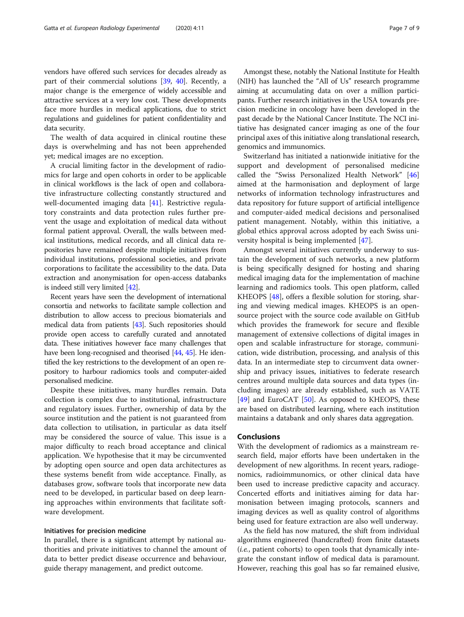vendors have offered such services for decades already as part of their commercial solutions [\[39,](#page-8-0) [40](#page-8-0)]. Recently, a major change is the emergence of widely accessible and attractive services at a very low cost. These developments face more hurdles in medical applications, due to strict regulations and guidelines for patient confidentiality and data security.

The wealth of data acquired in clinical routine these days is overwhelming and has not been apprehended yet; medical images are no exception.

A crucial limiting factor in the development of radiomics for large and open cohorts in order to be applicable in clinical workflows is the lack of open and collaborative infrastructure collecting constantly structured and well-documented imaging data [[41](#page-8-0)]. Restrictive regulatory constraints and data protection rules further prevent the usage and exploitation of medical data without formal patient approval. Overall, the walls between medical institutions, medical records, and all clinical data repositories have remained despite multiple initiatives from individual institutions, professional societies, and private corporations to facilitate the accessibility to the data. Data extraction and anonymisation for open-access databanks is indeed still very limited [[42](#page-8-0)].

Recent years have seen the development of international consortia and networks to facilitate sample collection and distribution to allow access to precious biomaterials and medical data from patients [\[43](#page-8-0)]. Such repositories should provide open access to carefully curated and annotated data. These initiatives however face many challenges that have been long-recognised and theorised [[44](#page-8-0), [45\]](#page-8-0). He identified the key restrictions to the development of an open repository to harbour radiomics tools and computer-aided personalised medicine.

Despite these initiatives, many hurdles remain. Data collection is complex due to institutional, infrastructure and regulatory issues. Further, ownership of data by the source institution and the patient is not guaranteed from data collection to utilisation, in particular as data itself may be considered the source of value. This issue is a major difficulty to reach broad acceptance and clinical application. We hypothesise that it may be circumvented by adopting open source and open data architectures as these systems benefit from wide acceptance. Finally, as databases grow, software tools that incorporate new data need to be developed, in particular based on deep learning approaches within environments that facilitate software development.

## Initiatives for precision medicine

In parallel, there is a significant attempt by national authorities and private initiatives to channel the amount of data to better predict disease occurrence and behaviour, guide therapy management, and predict outcome.

Amongst these, notably the National Institute for Health (NIH) has launched the "All of Us" research programme aiming at accumulating data on over a million participants. Further research initiatives in the USA towards precision medicine in oncology have been developed in the past decade by the National Cancer Institute. The NCI initiative has designated cancer imaging as one of the four principal axes of this initiative along translational research, genomics and immunomics.

Switzerland has initiated a nationwide initiative for the support and development of personalised medicine called the "Swiss Personalized Health Network" [[46](#page-8-0)] aimed at the harmonisation and deployment of large networks of information technology infrastructures and data repository for future support of artificial intelligence and computer-aided medical decisions and personalised patient management. Notably, within this initiative, a global ethics approval across adopted by each Swiss university hospital is being implemented [\[47](#page-8-0)].

Amongst several initiatives currently underway to sustain the development of such networks, a new platform is being specifically designed for hosting and sharing medical imaging data for the implementation of machine learning and radiomics tools. This open platform, called KHEOPS [[48\]](#page-8-0), offers a flexible solution for storing, sharing and viewing medical images. KHEOPS is an opensource project with the source code available on GitHub which provides the framework for secure and flexible management of extensive collections of digital images in open and scalable infrastructure for storage, communication, wide distribution, processing, and analysis of this data. In an intermediate step to circumvent data ownership and privacy issues, initiatives to federate research centres around multiple data sources and data types (including images) are already established, such as VATE [[49\]](#page-8-0) and EuroCAT [\[50](#page-8-0)]. As opposed to KHEOPS, these are based on distributed learning, where each institution maintains a databank and only shares data aggregation.

## Conclusions

With the development of radiomics as a mainstream research field, major efforts have been undertaken in the development of new algorithms. In recent years, radiogenomics, radioimmunomics, or other clinical data have been used to increase predictive capacity and accuracy. Concerted efforts and initiatives aiming for data harmonisation between imaging protocols, scanners and imaging devices as well as quality control of algorithms being used for feature extraction are also well underway.

As the field has now matured, the shift from individual algorithms engineered (handcrafted) from finite datasets (i.e., patient cohorts) to open tools that dynamically integrate the constant inflow of medical data is paramount. However, reaching this goal has so far remained elusive,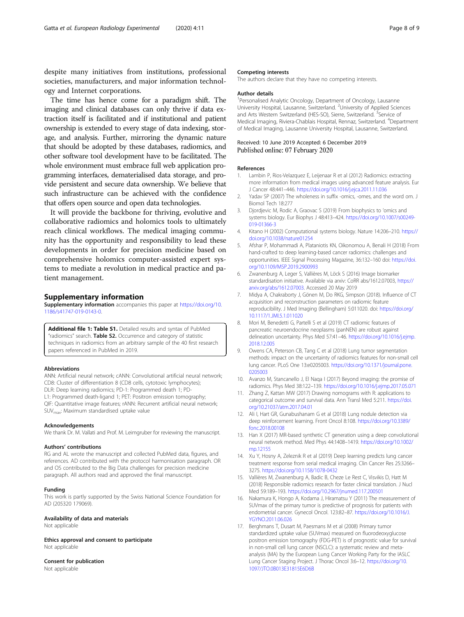<span id="page-7-0"></span>despite many initiatives from institutions, professional societies, manufacturers, and major information technology and Internet corporations.

The time has hence come for a paradigm shift. The imaging and clinical databases can only thrive if data extraction itself is facilitated and if institutional and patient ownership is extended to every stage of data indexing, storage, and analysis. Further, mirroring the dynamic nature that should be adopted by these databases, radiomics, and other software tool development have to be facilitated. The whole environment must embrace full web application programming interfaces, dematerialised data storage, and provide persistent and secure data ownership. We believe that such infrastructure can be achieved with the confidence that offers open source and open data technologies.

It will provide the backbone for thriving, evolutive and collaborative radiomics and holomics tools to ultimately reach clinical workflows. The medical imaging community has the opportunity and responsibility to lead these developments in order for precision medicine based on comprehensive holomics computer-assisted expert systems to mediate a revolution in medical practice and patient management.

## Supplementary information

Supplementary information accompanies this paper at [https://doi.org/10.](https://doi.org/10.1186/s41747-019-0143-0) [1186/s41747-019-0143-0.](https://doi.org/10.1186/s41747-019-0143-0)

Additional file 1: Table S1. Detailed results and syntax of PubMed "radiomics" search. Table S2. Occurrence and category of statistic techniques in radiomics from an arbitrary sample of the 40 first research papers referenced in PubMed in 2019.

#### Abbreviations

ANN: Artificial neural network; cANN: Convolutional artificial neural network; CD8: Cluster of differentiation 8 (CD8 cells, cytotoxic lymphocytes); DLR: Deep learning radiomics; PD-1: Programmed death 1; PD-L1: Programmed death-ligand 1; PET: Positron emission tomography; QIF: Quantitative image features; rANN: Recurrent artificial neural network; SUVmax: Maximum standardised uptake value

#### Acknowledgements

We thank Dr. M. Vallati and Prof. M. Leimgruber for reviewing the manuscript.

#### Authors' contributions

RG and AL wrote the manuscript and collected PubMed data, figures, and references. AD contributed with the protocol harmonisation paragraph. OR and OS contributed to the Big Data challenges for precision medicine paragraph. All authors read and approved the final manuscript.

#### Funding

This work is partly supported by the Swiss National Science Foundation for AD (205320 179069).

#### Availability of data and materials

Not applicable

Ethics approval and consent to participate Not applicable

# Consent for publication

Not applicable

#### Competing interests

The authors declare that they have no competing interests.

#### Author details

<sup>1</sup> Personalised Analytic Oncology, Department of Oncology, Lausanne University Hospital, Lausanne, Switzerland. <sup>2</sup>University of Applied Sciences and Arts Western Switzerland (HES-SO), Sierre, Switzerland. <sup>3</sup>Service of Medical Imaging, Riviera-Chablais Hospital, Rennaz, Switzerland. <sup>4</sup>Department of Medical Imaging, Lausanne University Hospital, Lausanne, Switzerland.

#### Received: 10 June 2019 Accepted: 6 December 2019 Published online: 07 February 2020

#### References

- 1. Lambin P, Rios-Velazquez E, Leijenaar R et al (2012) Radiomics: extracting more information from medical images using advanced feature analysis. Eur J Cancer 48:441–446. <https://doi.org/10.1016/j.ejca.2011.11.036>
- 2. Yadav SP (2007) The wholeness in suffix -omics, -omes, and the word om. J Biomol Tech 18:277
- 3. Diordievic M, Rodic A, Graovac S (2019) From biophysics to 'omics and systems biology. Eur Biophys J 48:413–424. [https://doi.org/10.1007/s00249-](https://doi.org/10.1007/s00249-019-01366-3) [019-01366-3](https://doi.org/10.1007/s00249-019-01366-3)
- 4. Kitano H (2002) Computational systems biology. Nature 14:206–210. [https://](https://doi.org/10.1038/nature01254) [doi.org/10.1038/nature01254](https://doi.org/10.1038/nature01254)
- 5. Afshar P, Mohammadi A, Plataniotis KN, Oikonomou A, Benali H (2018) From hand-crafted to deep learning-based cancer radiomics: challenges and opportunities. IEEE Signal Processing Magazine, 36:132–160 doi: [https://doi.](https://doi.org/10.1109/MSP.2019.2900993) [org/10.1109/MSP.2019.2900993](https://doi.org/10.1109/MSP.2019.2900993)
- 6. Zwanenburg A, Leger S, Vallières M, Löck S (2016) Image biomarker standardisation initiative. Available via arxiv: CoRR abs/1612.07003, [https://](https://arxiv.org/abs/1612.07003) [arxiv.org/abs/1612.07003](https://arxiv.org/abs/1612.07003). Accessed 20 May 2019
- 7. Midya A, Chakraborty J, Gönen M, Do RKG, Simpson (2018). Influence of CT acquisition and reconstruction parameters on radiomic feature reproducibility. J Med Imaging (Bellingham) 5:011020. doi: [https://doi.org/](https://doi.org/10.1117/1.JMI.5.1.011020) [10.1117/1.JMI.5.1.011020](https://doi.org/10.1117/1.JMI.5.1.011020)
- 8. Mori M, Benedetti G, Partelli S et al (2019) CT radiomic features of pancreatic neuroendocrine neoplasms (panNEN) are robust against delineation uncertainty. Phys Med 57:41–46. [https://doi.org/10.1016/j.ejmp.](https://doi.org/10.1016/j.ejmp.2018.12.005) [2018.12.005](https://doi.org/10.1016/j.ejmp.2018.12.005)
- 9. Owens CA, Peterson CB, Tang C et al (2018) Lung tumor segmentation methods: impact on the uncertainty of radiomics features for non-small cell lung cancer. PLoS One 13:e0205003. [https://doi.org/10.1371/journal.pone.](https://doi.org/10.1371/journal.pone.0205003) [0205003](https://doi.org/10.1371/journal.pone.0205003)
- 10. Avanzo M, Stancanello J, El Naqa I (2017) Beyond imaging: the promise of radiomics. Phys Med 38:122–139. <https://doi.org/10.1016/j.ejmp.2017.05.071>
- 11. Zhang Z, Kattan MW (2017) Drawing nomograms with R: applications to categorical outcome and survival data. Ann Transl Med 5:211. [https://doi.](https://doi.org/10.21037/atm.2017.04.01) [org/10.21037/atm.2017.04.01](https://doi.org/10.21037/atm.2017.04.01)
- 12. Ali I, Hart GR, Gunabushanam G et al (2018) Lung nodule detection via deep reinforcement learning. Front Oncol 8:108. [https://doi.org/10.3389/](https://doi.org/10.3389/fonc.2018.00108) [fonc.2018.00108](https://doi.org/10.3389/fonc.2018.00108)
- 13. Han X (2017) MR-based synthetic CT generation using a deep convolutional neural network method. Med Phys 44:1408–1419. [https://doi.org/10.1002/](https://doi.org/10.1002/mp.12155) [mp.12155](https://doi.org/10.1002/mp.12155)
- 14. Xu Y, Hosny A, Zeleznik R et al (2019) Deep learning predicts lung cancer treatment response from serial medical imaging. Clin Cancer Res 25:3266– 3275. <https://doi.org/10.1158/1078-0432>
- 15. Vallières M, Zwanenburg A, Badic B, Cheze Le Rest C, Visvikis D, Hatt M (2018) Responsible radiomics research for faster clinical translation. J Nucl Med 59:189–193. <https://doi.org/10.2967/jnumed.117.200501>
- 16. Nakamura K, Hongo A, Kodama J, Hiramatsu Y (2011) The measurement of SUVmax of the primary tumor is predictive of prognosis for patients with endometrial cancer. Gynecol Oncol. 123:82–87. [https://doi.org/10.1016/J.](https://doi.org/10.1016/J.YGYNO.2011.06.026) [YGYNO.2011.06.026](https://doi.org/10.1016/J.YGYNO.2011.06.026)
- 17. Berghmans T, Dusart M, Paesmans M et al (2008) Primary tumor standardized uptake value (SUVmax) measured on fluorodeoxyglucose positron emission tomography (FDG-PET) is of prognostic value for survival in non-small cell lung cancer (NSCLC): a systematic review and metaanalysis (MA) by the European Lung Cancer Working Party for the IASLC Lung Cancer Staging Project. J Thorac Oncol 3:6–12. [https://doi.org/10.](https://doi.org/10.1097/JTO.0B013E31815E6D6B) [1097/JTO.0B013E31815E6D6B](https://doi.org/10.1097/JTO.0B013E31815E6D6B)